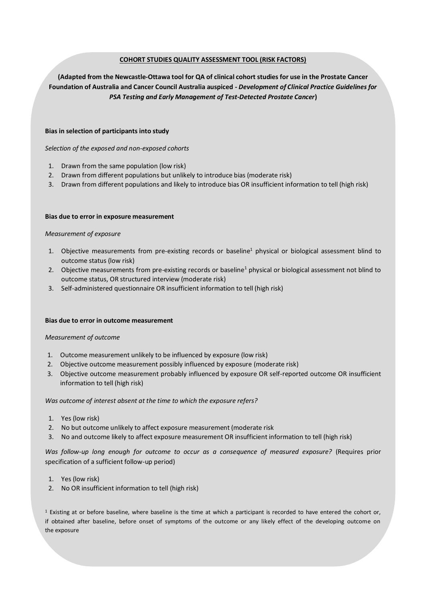# **COHORT STUDIES QUALITY ASSESSMENT TOOL (RISK FACTORS)**

**(Adapted from the Newcastle-Ottawa tool for QA of clinical cohort studies for use in the Prostate Cancer Foundation of Australia and Cancer Council Australia auspiced -** *Development of Clinical Practice Guidelines for PSA Testing and Early Management of Test-Detected Prostate Cancer***)**

## **Bias in selection of participants into study**

*Selection of the exposed and non-exposed cohorts*

- 1. Drawn from the same population (low risk)
- 2. Drawn from different populations but unlikely to introduce bias (moderate risk)
- 3. Drawn from different populations and likely to introduce bias OR insufficient information to tell (high risk)

#### **Bias due to error in exposure measurement**

### *Measurement of exposure*

- 1. Objective measurements from pre-existing records or baseline<sup>1</sup> physical or biological assessment blind to outcome status (low risk)
- 2. Objective measurements from pre-existing records or baseline<sup>1</sup> physical or biological assessment not blind to outcome status, OR structured interview (moderate risk)
- 3. Self-administered questionnaire OR insufficient information to tell (high risk)

#### **Bias due to error in outcome measurement**

#### *Measurement of outcome*

- 1. Outcome measurement unlikely to be influenced by exposure (low risk)
- 2. Objective outcome measurement possibly influenced by exposure (moderate risk)
- 3. Objective outcome measurement probably influenced by exposure OR self-reported outcome OR insufficient information to tell (high risk)

*Was outcome of interest absent at the time to which the exposure refers?*

- 1. Yes (low risk)
- 2. No but outcome unlikely to affect exposure measurement (moderate risk
- 3. No and outcome likely to affect exposure measurement OR insufficient information to tell (high risk)

Was follow-up long enough for outcome to occur as a consequence of measured exposure? (Requires prior specification of a sufficient follow-up period)

- 1. Yes (low risk)
- 2. No OR insufficient information to tell (high risk)

<sup>1</sup> Existing at or before baseline, where baseline is the time at which a participant is recorded to have entered the cohort or, if obtained after baseline, before onset of symptoms of the outcome or any likely effect of the developing outcome on the exposure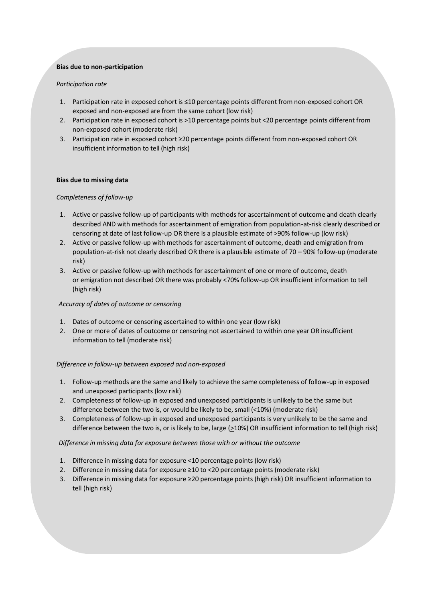# **Bias due to non-participation**

# *Participation rate*

- 1. Participation rate in exposed cohort is ≤10 percentage points different from non-exposed cohort OR exposed and non-exposed are from the same cohort (low risk)
- 2. Participation rate in exposed cohort is >10 percentage points but <20 percentage points different from non-exposed cohort (moderate risk)
- 3. Participation rate in exposed cohort ≥20 percentage points different from non-exposed cohort OR insufficient information to tell (high risk)

### **Bias due to missing data**

### *Completeness of follow-up*

- 1. Active or passive follow-up of participants with methods for ascertainment of outcome and death clearly described AND with methods for ascertainment of emigration from population-at-risk clearly described or censoring at date of last follow-up OR there is a plausible estimate of >90% follow-up (low risk)
- 2. Active or passive follow-up with methods for ascertainment of outcome, death and emigration from population-at-risk not clearly described OR there is a plausible estimate of 70 – 90% follow-up (moderate risk)
- 3. Active or passive follow-up with methods for ascertainment of one or more of outcome, death or emigration not described OR there was probably <70% follow-up OR insufficient information to tell (high risk)

# *Accuracy of dates of outcome or censoring*

- 1. Dates of outcome or censoring ascertained to within one year (low risk)
- 2. One or more of dates of outcome or censoring not ascertained to within one year OR insufficient information to tell (moderate risk)

# *Difference in follow-up between exposed and non-exposed*

- 1. Follow-up methods are the same and likely to achieve the same completeness of follow-up in exposed and unexposed participants (low risk)
- 2. Completeness of follow-up in exposed and unexposed participants is unlikely to be the same but difference between the two is, or would be likely to be, small (<10%) (moderate risk)
- 3. Completeness of follow-up in exposed and unexposed participants is very unlikely to be the same and difference between the two is, or is likely to be, large ( $\geq$ 10%) OR insufficient information to tell (high risk)

*Difference in missing data for exposure between those with or without the outcome*

- 1. Difference in missing data for exposure <10 percentage points (low risk)
- 2. Difference in missing data for exposure ≥10 to <20 percentage points (moderate risk)
- 3. Difference in missing data for exposure ≥20 percentage points (high risk) OR insufficient information to tell (high risk)